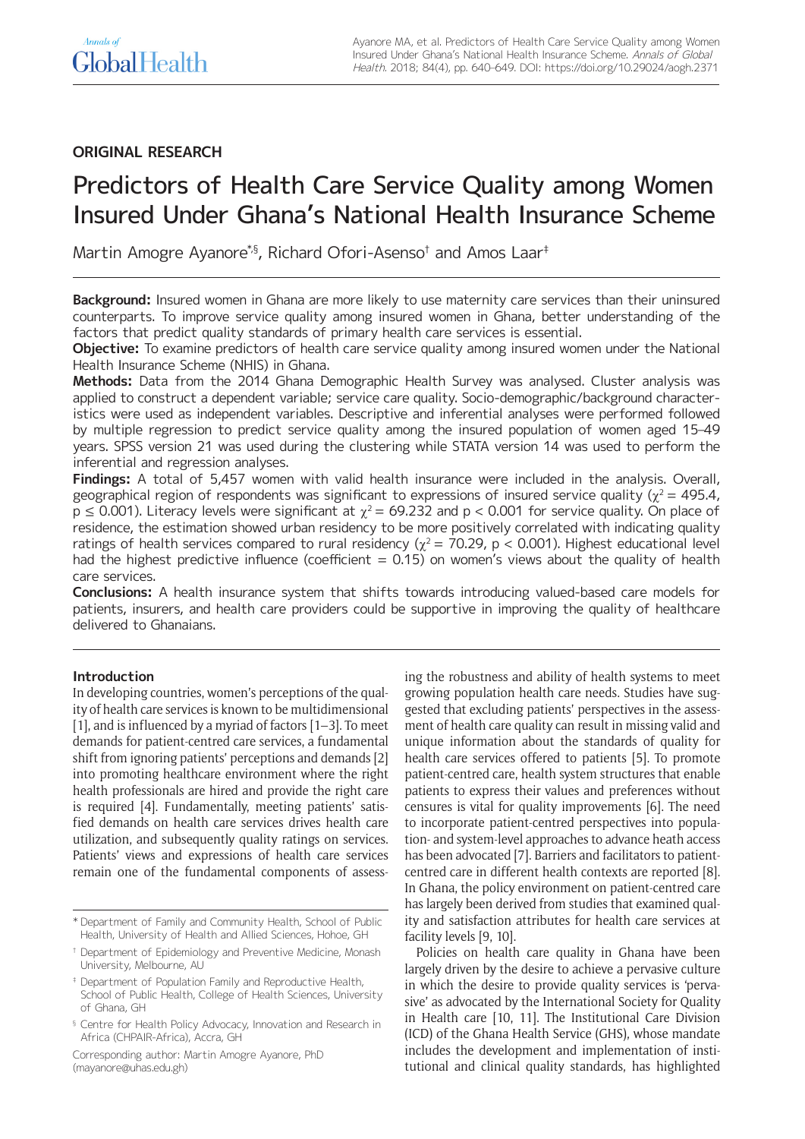# **ORIGINAL RESEARCH**

# Predictors of Health Care Service Quality among Women Insured Under Ghana's National Health Insurance Scheme

Martin Amogre Ayanore\*,§, Richard Ofori-Asenso† and Amos Laar‡

**Background:** Insured women in Ghana are more likely to use maternity care services than their uninsured counterparts. To improve service quality among insured women in Ghana, better understanding of the factors that predict quality standards of primary health care services is essential.

**Objective:** To examine predictors of health care service quality among insured women under the National Health Insurance Scheme (NHIS) in Ghana.

**Methods:** Data from the 2014 Ghana Demographic Health Survey was analysed. Cluster analysis was applied to construct a dependent variable; service care quality. Socio-demographic/background characteristics were used as independent variables. Descriptive and inferential analyses were performed followed by multiple regression to predict service quality among the insured population of women aged 15–49 years. SPSS version 21 was used during the clustering while STATA version 14 was used to perform the inferential and regression analyses.

**Findings:** A total of 5,457 women with valid health insurance were included in the analysis. Overall, geographical region of respondents was significant to expressions of insured service quality ( $\chi^2$  = 495.4,  $p \le 0.001$ ). Literacy levels were significant at  $\gamma^2 = 69.232$  and  $p < 0.001$  for service quality. On place of residence, the estimation showed urban residency to be more positively correlated with indicating quality ratings of health services compared to rural residency ( $\chi^2$  = 70.29, p < 0.001). Highest educational level had the highest predictive influence (coefficient =  $0.15$ ) on women's views about the quality of health care services.

**Conclusions:** A health insurance system that shifts towards introducing valued-based care models for patients, insurers, and health care providers could be supportive in improving the quality of healthcare delivered to Ghanaians.

# **Introduction**

In developing countries, women's perceptions of the quality of health care services is known to be multidimensional [1], and is influenced by a myriad of factors  $[1-3]$ . To meet demands for patient-centred care services, a fundamental shift from ignoring patients' perceptions and demands [2] into promoting healthcare environment where the right health professionals are hired and provide the right care is required [4]. Fundamentally, meeting patients' satisfied demands on health care services drives health care utilization, and subsequently quality ratings on services. Patients' views and expressions of health care services remain one of the fundamental components of assess-

Corresponding author: Martin Amogre Ayanore, PhD [\(mayanore@uhas.edu.gh](mailto:mayanore@uhas.edu.gh))

ing the robustness and ability of health systems to meet growing population health care needs. Studies have suggested that excluding patients' perspectives in the assessment of health care quality can result in missing valid and unique information about the standards of quality for health care services offered to patients [5]. To promote patient-centred care, health system structures that enable patients to express their values and preferences without censures is vital for quality improvements [6]. The need to incorporate patient-centred perspectives into population- and system-level approaches to advance heath access has been advocated [7]. Barriers and facilitators to patientcentred care in different health contexts are reported [8]. In Ghana, the policy environment on patient-centred care has largely been derived from studies that examined quality and satisfaction attributes for health care services at facility levels [9, 10].

Policies on health care quality in Ghana have been largely driven by the desire to achieve a pervasive culture in which the desire to provide quality services is 'pervasive' as advocated by the International Society for Quality in Health care [10, 11]. The Institutional Care Division (ICD) of the Ghana Health Service (GHS), whose mandate includes the development and implementation of institutional and clinical quality standards, has highlighted

<sup>\*</sup> Department of Family and Community Health, School of Public Health, University of Health and Allied Sciences, Hohoe, GH

<sup>†</sup> Department of Epidemiology and Preventive Medicine, Monash University, Melbourne, AU

<sup>‡</sup> Department of Population Family and Reproductive Health, School of Public Health, College of Health Sciences, University of Ghana, GH

<sup>&</sup>lt;sup>§</sup> Centre for Health Policy Advocacy, Innovation and Research in Africa (CHPAIR-Africa), Accra, GH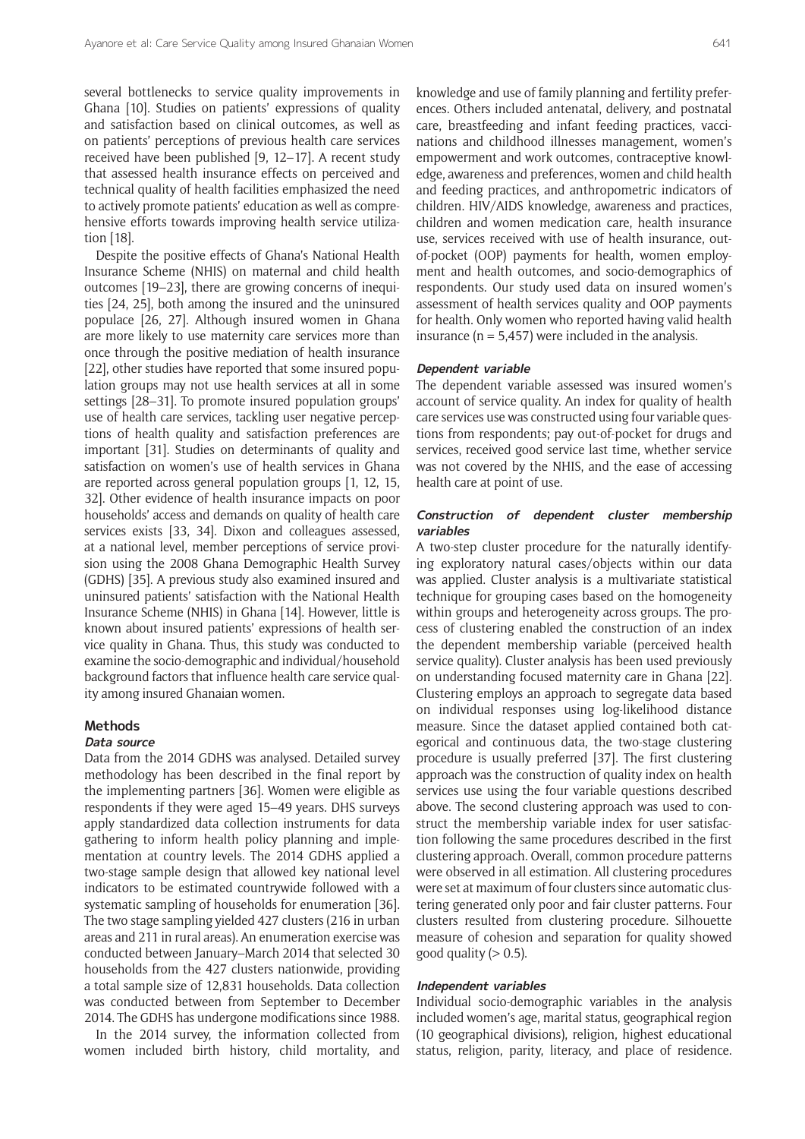several bottlenecks to service quality improvements in Ghana [10]. Studies on patients' expressions of quality and satisfaction based on clinical outcomes, as well as on patients' perceptions of previous health care services received have been published [9, 12–17]. A recent study that assessed health insurance effects on perceived and technical quality of health facilities emphasized the need to actively promote patients' education as well as comprehensive efforts towards improving health service utilization [18].

Despite the positive effects of Ghana's National Health Insurance Scheme (NHIS) on maternal and child health outcomes [19–23], there are growing concerns of inequities [24, 25], both among the insured and the uninsured populace [26, 27]. Although insured women in Ghana are more likely to use maternity care services more than once through the positive mediation of health insurance [22], other studies have reported that some insured population groups may not use health services at all in some settings [28–31]. To promote insured population groups' use of health care services, tackling user negative perceptions of health quality and satisfaction preferences are important [31]. Studies on determinants of quality and satisfaction on women's use of health services in Ghana are reported across general population groups [1, 12, 15, 32]. Other evidence of health insurance impacts on poor households' access and demands on quality of health care services exists [33, 34]. Dixon and colleagues assessed, at a national level, member perceptions of service provision using the 2008 Ghana Demographic Health Survey (GDHS) [35]. A previous study also examined insured and uninsured patients' satisfaction with the National Health Insurance Scheme (NHIS) in Ghana [14]. However, little is known about insured patients' expressions of health service quality in Ghana. Thus, this study was conducted to examine the socio-demographic and individual/household background factors that influence health care service quality among insured Ghanaian women.

#### **Methods**

#### **Data source**

Data from the 2014 GDHS was analysed. Detailed survey methodology has been described in the final report by the implementing partners [36]. Women were eligible as respondents if they were aged 15–49 years. DHS surveys apply standardized data collection instruments for data gathering to inform health policy planning and implementation at country levels. The 2014 GDHS applied a two-stage sample design that allowed key national level indicators to be estimated countrywide followed with a systematic sampling of households for enumeration [36]. The two stage sampling yielded 427 clusters (216 in urban areas and 211 in rural areas). An enumeration exercise was conducted between January–March 2014 that selected 30 households from the 427 clusters nationwide, providing a total sample size of 12,831 households. Data collection was conducted between from September to December 2014. The GDHS has undergone modifications since 1988.

In the 2014 survey, the information collected from women included birth history, child mortality, and knowledge and use of family planning and fertility preferences. Others included antenatal, delivery, and postnatal care, breastfeeding and infant feeding practices, vaccinations and childhood illnesses management, women's empowerment and work outcomes, contraceptive knowledge, awareness and preferences, women and child health and feeding practices, and anthropometric indicators of children. HIV/AIDS knowledge, awareness and practices, children and women medication care, health insurance use, services received with use of health insurance, outof-pocket (OOP) payments for health, women employment and health outcomes, and socio-demographics of respondents. Our study used data on insured women's assessment of health services quality and OOP payments for health. Only women who reported having valid health insurance ( $n = 5,457$ ) were included in the analysis.

#### **Dependent variable**

The dependent variable assessed was insured women's account of service quality. An index for quality of health care services use was constructed using four variable questions from respondents; pay out-of-pocket for drugs and services, received good service last time, whether service was not covered by the NHIS, and the ease of accessing health care at point of use.

## **Construction of dependent cluster membership variables**

A two-step cluster procedure for the naturally identifying exploratory natural cases/objects within our data was applied. Cluster analysis is a multivariate statistical technique for grouping cases based on the homogeneity within groups and heterogeneity across groups. The process of clustering enabled the construction of an index the dependent membership variable (perceived health service quality). Cluster analysis has been used previously on understanding focused maternity care in Ghana [22]. Clustering employs an approach to segregate data based on individual responses using log-likelihood distance measure. Since the dataset applied contained both categorical and continuous data, the two-stage clustering procedure is usually preferred [37]. The first clustering approach was the construction of quality index on health services use using the four variable questions described above. The second clustering approach was used to construct the membership variable index for user satisfaction following the same procedures described in the first clustering approach. Overall, common procedure patterns were observed in all estimation. All clustering procedures were set at maximum of four clusters since automatic clustering generated only poor and fair cluster patterns. Four clusters resulted from clustering procedure. Silhouette measure of cohesion and separation for quality showed good quality  $(> 0.5)$ .

#### **Independent variables**

Individual socio-demographic variables in the analysis included women's age, marital status, geographical region (10 geographical divisions), religion, highest educational status, religion, parity, literacy, and place of residence.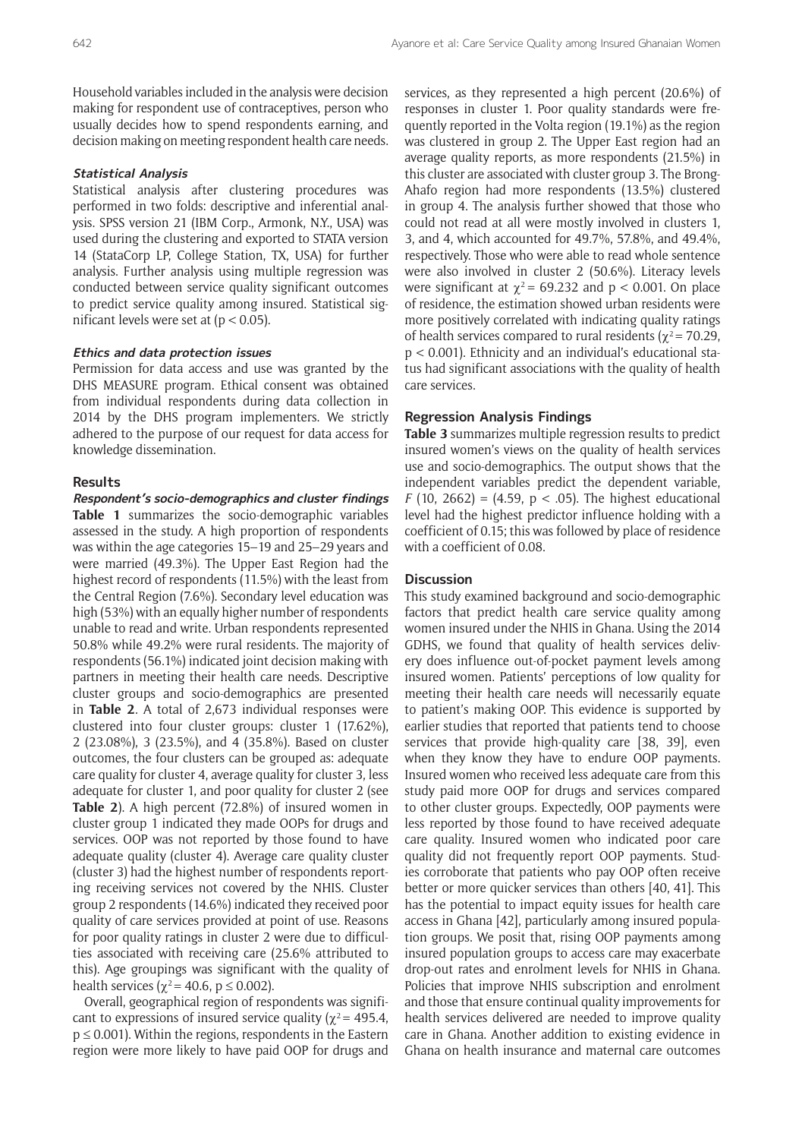Household variables included in the analysis were decision making for respondent use of contraceptives, person who usually decides how to spend respondents earning, and decision making on meeting respondent health care needs.

# **Statistical Analysis**

Statistical analysis after clustering procedures was performed in two folds: descriptive and inferential analysis. SPSS version 21 (IBM Corp., Armonk, N.Y., USA) was used during the clustering and exported to STATA version 14 (StataCorp LP, College Station, TX, USA) for further analysis. Further analysis using multiple regression was conducted between service quality significant outcomes to predict service quality among insured. Statistical significant levels were set at  $(p < 0.05)$ .

#### **Ethics and data protection issues**

Permission for data access and use was granted by the DHS MEASURE program. Ethical consent was obtained from individual respondents during data collection in 2014 by the DHS program implementers. We strictly adhered to the purpose of our request for data access for knowledge dissemination.

# **Results**

**Respondent's socio-demographics and cluster findings Table 1** summarizes the socio-demographic variables assessed in the study. A high proportion of respondents was within the age categories 15–19 and 25–29 years and were married (49.3%). The Upper East Region had the highest record of respondents (11.5%) with the least from the Central Region (7.6%). Secondary level education was high (53%) with an equally higher number of respondents unable to read and write. Urban respondents represented 50.8% while 49.2% were rural residents. The majority of respondents (56.1%) indicated joint decision making with partners in meeting their health care needs. Descriptive cluster groups and socio-demographics are presented in **Table 2**. A total of 2,673 individual responses were clustered into four cluster groups: cluster 1 (17.62%), 2 (23.08%), 3 (23.5%), and 4 (35.8%). Based on cluster outcomes, the four clusters can be grouped as: adequate care quality for cluster 4, average quality for cluster 3, less adequate for cluster 1, and poor quality for cluster 2 (see **Table 2**). A high percent (72.8%) of insured women in cluster group 1 indicated they made OOPs for drugs and services. OOP was not reported by those found to have adequate quality (cluster 4). Average care quality cluster (cluster 3) had the highest number of respondents reporting receiving services not covered by the NHIS. Cluster group 2 respondents (14.6%) indicated they received poor quality of care services provided at point of use. Reasons for poor quality ratings in cluster 2 were due to difficulties associated with receiving care (25.6% attributed to this). Age groupings was significant with the quality of health services ( $\gamma^2$  = 40.6, p  $\leq$  0.002).

Overall, geographical region of respondents was significant to expressions of insured service quality ( $\gamma^2$  = 495.4,  $p \le 0.001$ ). Within the regions, respondents in the Eastern region were more likely to have paid OOP for drugs and services, as they represented a high percent (20.6%) of responses in cluster 1. Poor quality standards were frequently reported in the Volta region (19.1%) as the region was clustered in group 2. The Upper East region had an average quality reports, as more respondents (21.5%) in this cluster are associated with cluster group 3. The Brong-Ahafo region had more respondents (13.5%) clustered in group 4. The analysis further showed that those who could not read at all were mostly involved in clusters 1, 3, and 4, which accounted for 49.7%, 57.8%, and 49.4%, respectively. Those who were able to read whole sentence were also involved in cluster 2 (50.6%). Literacy levels were significant at  $\chi^2$  = 69.232 and p < 0.001. On place of residence, the estimation showed urban residents were more positively correlated with indicating quality ratings of health services compared to rural residents ( $\chi^2$  = 70.29, p < 0.001). Ethnicity and an individual's educational status had significant associations with the quality of health care services.

#### **Regression Analysis Findings**

**Table 3** summarizes multiple regression results to predict insured women's views on the quality of health services use and socio-demographics. The output shows that the independent variables predict the dependent variable, *F* (10, 2662) = (4.59,  $p < .05$ ). The highest educational level had the highest predictor influence holding with a coefficient of 0.15; this was followed by place of residence with a coefficient of 0.08.

#### **Discussion**

This study examined background and socio-demographic factors that predict health care service quality among women insured under the NHIS in Ghana. Using the 2014 GDHS, we found that quality of health services delivery does influence out-of-pocket payment levels among insured women. Patients' perceptions of low quality for meeting their health care needs will necessarily equate to patient's making OOP. This evidence is supported by earlier studies that reported that patients tend to choose services that provide high-quality care [38, 39], even when they know they have to endure OOP payments. Insured women who received less adequate care from this study paid more OOP for drugs and services compared to other cluster groups. Expectedly, OOP payments were less reported by those found to have received adequate care quality. Insured women who indicated poor care quality did not frequently report OOP payments. Studies corroborate that patients who pay OOP often receive better or more quicker services than others [40, 41]. This has the potential to impact equity issues for health care access in Ghana [42], particularly among insured population groups. We posit that, rising OOP payments among insured population groups to access care may exacerbate drop-out rates and enrolment levels for NHIS in Ghana. Policies that improve NHIS subscription and enrolment and those that ensure continual quality improvements for health services delivered are needed to improve quality care in Ghana. Another addition to existing evidence in Ghana on health insurance and maternal care outcomes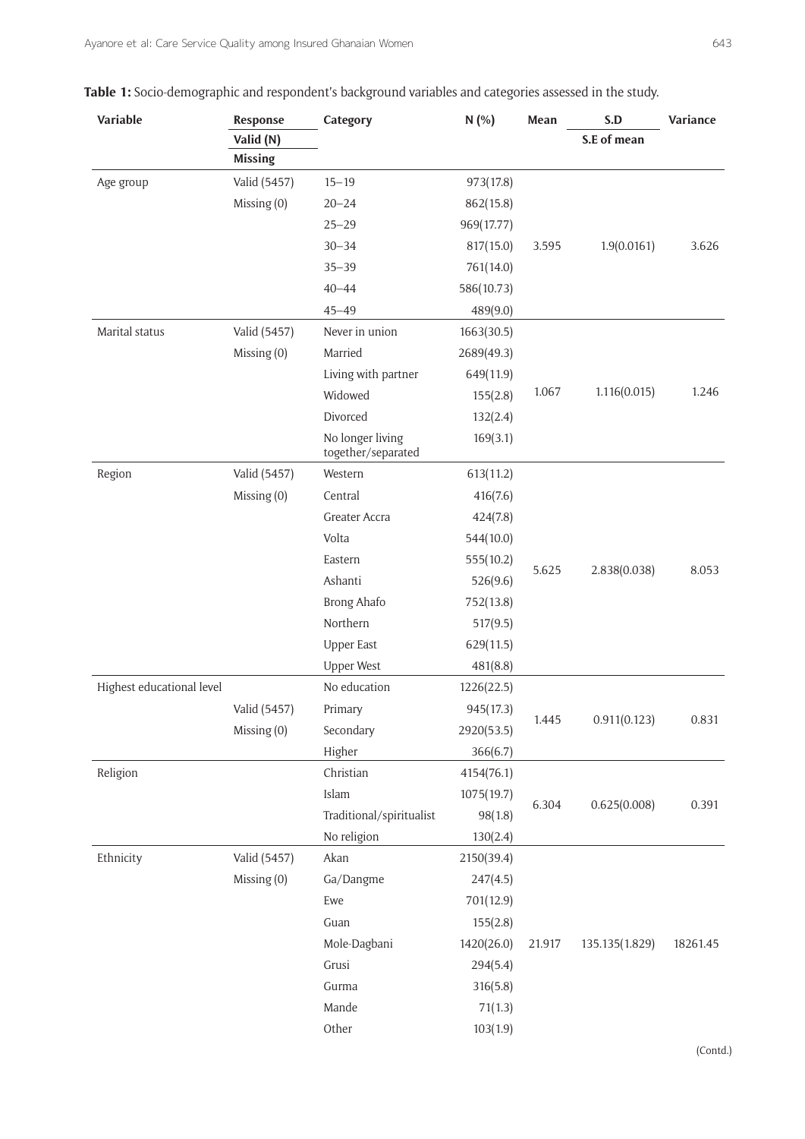| Variable                  | Response       | Category                               | N(%)       | Mean   | S.D            | Variance |
|---------------------------|----------------|----------------------------------------|------------|--------|----------------|----------|
|                           | Valid (N)      |                                        |            |        | S.E of mean    |          |
|                           | <b>Missing</b> |                                        |            |        |                |          |
| Age group                 | Valid (5457)   | $15 - 19$                              | 973(17.8)  |        |                |          |
|                           | Missing (0)    | $20 - 24$                              | 862(15.8)  |        |                |          |
|                           |                | $25 - 29$                              | 969(17.77) |        |                |          |
|                           |                | $30 - 34$                              | 817(15.0)  | 3.595  | 1.9(0.0161)    | 3.626    |
|                           |                | $35 - 39$                              | 761(14.0)  |        |                |          |
|                           |                | $40 - 44$                              | 586(10.73) |        |                |          |
|                           |                | $45 - 49$                              | 489(9.0)   |        |                |          |
| Marital status            | Valid (5457)   | Never in union                         | 1663(30.5) |        |                |          |
|                           | Missing (0)    | Married                                | 2689(49.3) |        |                |          |
|                           |                | Living with partner                    | 649(11.9)  |        |                |          |
|                           |                | Widowed                                | 155(2.8)   | 1.067  | 1.116(0.015)   | 1.246    |
|                           |                | Divorced                               | 132(2.4)   |        |                |          |
|                           |                | No longer living<br>together/separated | 169(3.1)   |        |                |          |
| Region                    | Valid (5457)   | Western                                | 613(11.2)  |        |                |          |
|                           | Missing (0)    | Central                                | 416(7.6)   |        |                |          |
|                           |                | Greater Accra                          | 424(7.8)   |        |                |          |
|                           |                | Volta                                  | 544(10.0)  |        |                |          |
|                           |                | Eastern                                | 555(10.2)  |        |                |          |
|                           |                | Ashanti                                | 526(9.6)   | 5.625  | 2.838(0.038)   | 8.053    |
|                           |                | <b>Brong Ahafo</b>                     | 752(13.8)  |        |                |          |
|                           |                | Northern                               | 517(9.5)   |        |                |          |
|                           |                | <b>Upper East</b>                      | 629(11.5)  |        |                |          |
|                           |                | <b>Upper West</b>                      | 481(8.8)   |        |                |          |
| Highest educational level |                | No education                           | 1226(22.5) |        |                |          |
|                           | Valid (5457)   | Primary                                | 945(17.3)  |        |                | 0.831    |
|                           | Missing (0)    | Secondary                              | 2920(53.5) | 1.445  | 0.911(0.123)   |          |
|                           |                | Higher                                 | 366(6.7)   |        |                |          |
| Religion                  |                | Christian                              | 4154(76.1) |        |                |          |
|                           |                | Islam                                  | 1075(19.7) |        |                |          |
|                           |                | Traditional/spiritualist               | 98(1.8)    | 6.304  | 0.625(0.008)   | 0.391    |
|                           |                | No religion                            | 130(2.4)   |        |                |          |
| Ethnicity                 | Valid (5457)   | Akan                                   | 2150(39.4) |        |                |          |
|                           | Missing (0)    | Ga/Dangme                              | 247(4.5)   |        |                |          |
|                           |                | Ewe                                    | 701(12.9)  |        |                |          |
|                           |                | Guan                                   | 155(2.8)   |        |                |          |
|                           |                | Mole-Dagbani                           | 1420(26.0) | 21.917 | 135.135(1.829) | 18261.45 |
|                           |                | Grusi                                  | 294(5.4)   |        |                |          |
|                           |                | Gurma                                  | 316(5.8)   |        |                |          |
|                           |                | Mande                                  | 71(1.3)    |        |                |          |
|                           |                | Other                                  | 103(1.9)   |        |                |          |

|  |  | <b>Table 1:</b> Socio-demographic and respondent's background variables and categories assessed in the study. |  |
|--|--|---------------------------------------------------------------------------------------------------------------|--|
|  |  |                                                                                                               |  |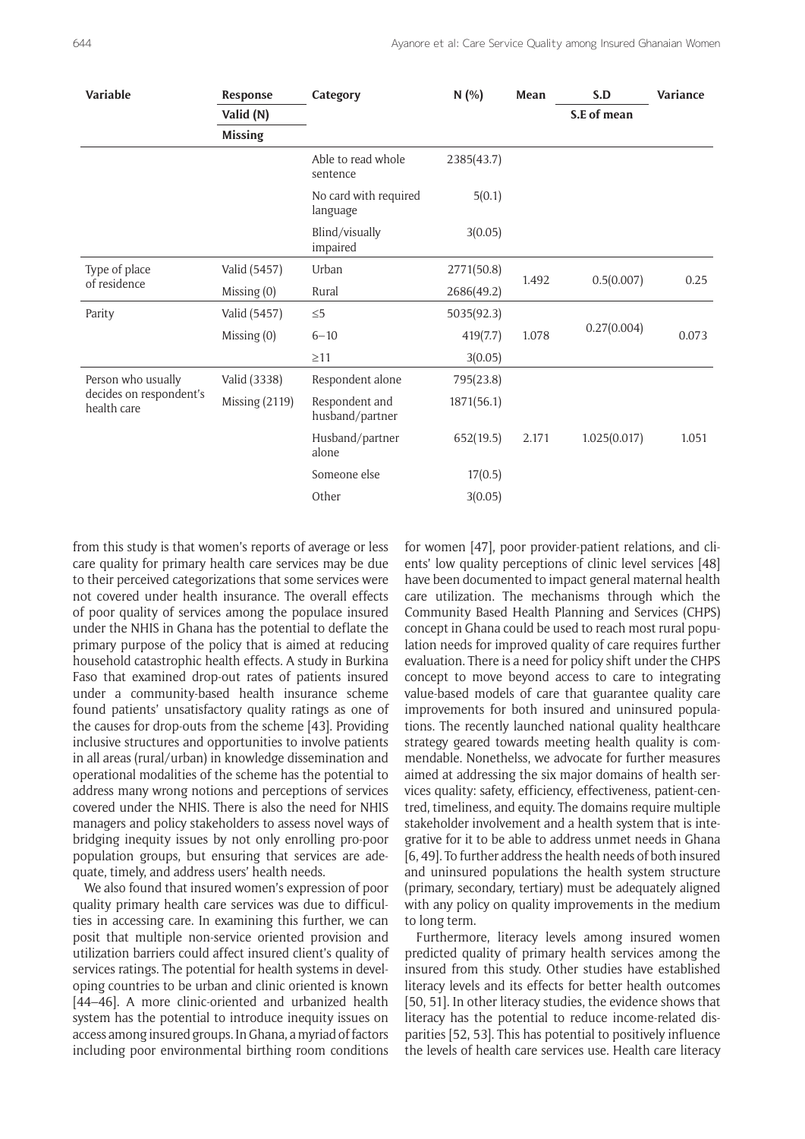| Variable                                                     | Response         | Category                          | N(% )      | Mean                 | S.D          | Variance |
|--------------------------------------------------------------|------------------|-----------------------------------|------------|----------------------|--------------|----------|
|                                                              | Valid (N)        |                                   |            |                      | S.E of mean  |          |
|                                                              | <b>Missing</b>   |                                   |            |                      |              |          |
|                                                              |                  | Able to read whole<br>sentence    | 2385(43.7) |                      |              |          |
|                                                              |                  | No card with required<br>language | 5(0.1)     |                      |              |          |
|                                                              |                  | Blind/visually<br>impaired        | 3(0.05)    |                      |              |          |
| Type of place<br>of residence                                | Valid (5457)     | Urban                             | 2771(50.8) | 0.5(0.007)<br>1.492  |              | 0.25     |
|                                                              | Missing (0)      | Rural                             | 2686(49.2) |                      |              |          |
| Parity                                                       | Valid (5457)     | $\leq 5$                          | 5035(92.3) | 0.27(0.004)<br>1.078 |              | 0.073    |
|                                                              | Missing (0)      | $6 - 10$                          | 419(7.7)   |                      |              |          |
|                                                              |                  | $\geq$ 11                         | 3(0.05)    |                      |              |          |
| Person who usually<br>decides on respondent's<br>health care | Valid (3338)     | Respondent alone                  | 795(23.8)  |                      |              |          |
|                                                              | Missing $(2119)$ | Respondent and<br>husband/partner | 1871(56.1) |                      |              |          |
|                                                              |                  | Husband/partner<br>alone          | 652(19.5)  | 2.171                | 1.025(0.017) | 1.051    |
|                                                              |                  | Someone else                      | 17(0.5)    |                      |              |          |
|                                                              |                  | Other                             | 3(0.05)    |                      |              |          |
|                                                              |                  |                                   |            |                      |              |          |

from this study is that women's reports of average or less care quality for primary health care services may be due to their perceived categorizations that some services were not covered under health insurance. The overall effects of poor quality of services among the populace insured under the NHIS in Ghana has the potential to deflate the primary purpose of the policy that is aimed at reducing household catastrophic health effects. A study in Burkina Faso that examined drop-out rates of patients insured under a community-based health insurance scheme found patients' unsatisfactory quality ratings as one of the causes for drop-outs from the scheme [43]. Providing inclusive structures and opportunities to involve patients in all areas (rural/urban) in knowledge dissemination and operational modalities of the scheme has the potential to address many wrong notions and perceptions of services covered under the NHIS. There is also the need for NHIS managers and policy stakeholders to assess novel ways of bridging inequity issues by not only enrolling pro-poor population groups, but ensuring that services are adequate, timely, and address users' health needs.

We also found that insured women's expression of poor quality primary health care services was due to difficulties in accessing care. In examining this further, we can posit that multiple non-service oriented provision and utilization barriers could affect insured client's quality of services ratings. The potential for health systems in developing countries to be urban and clinic oriented is known [44–46]. A more clinic-oriented and urbanized health system has the potential to introduce inequity issues on access among insured groups. In Ghana, a myriad of factors including poor environmental birthing room conditions

for women [47], poor provider-patient relations, and clients' low quality perceptions of clinic level services [48] have been documented to impact general maternal health care utilization. The mechanisms through which the Community Based Health Planning and Services (CHPS) concept in Ghana could be used to reach most rural population needs for improved quality of care requires further evaluation. There is a need for policy shift under the CHPS concept to move beyond access to care to integrating value-based models of care that guarantee quality care improvements for both insured and uninsured populations. The recently launched national quality healthcare strategy geared towards meeting health quality is commendable. Nonethelss, we advocate for further measures aimed at addressing the six major domains of health services quality: safety, efficiency, effectiveness, patient-centred, timeliness, and equity. The domains require multiple stakeholder involvement and a health system that is integrative for it to be able to address unmet needs in Ghana [6, 49]. To further address the health needs of both insured and uninsured populations the health system structure (primary, secondary, tertiary) must be adequately aligned with any policy on quality improvements in the medium to long term.

Furthermore, literacy levels among insured women predicted quality of primary health services among the insured from this study. Other studies have established literacy levels and its effects for better health outcomes [50, 51]. In other literacy studies, the evidence shows that literacy has the potential to reduce income-related disparities [52, 53]. This has potential to positively influence the levels of health care services use. Health care literacy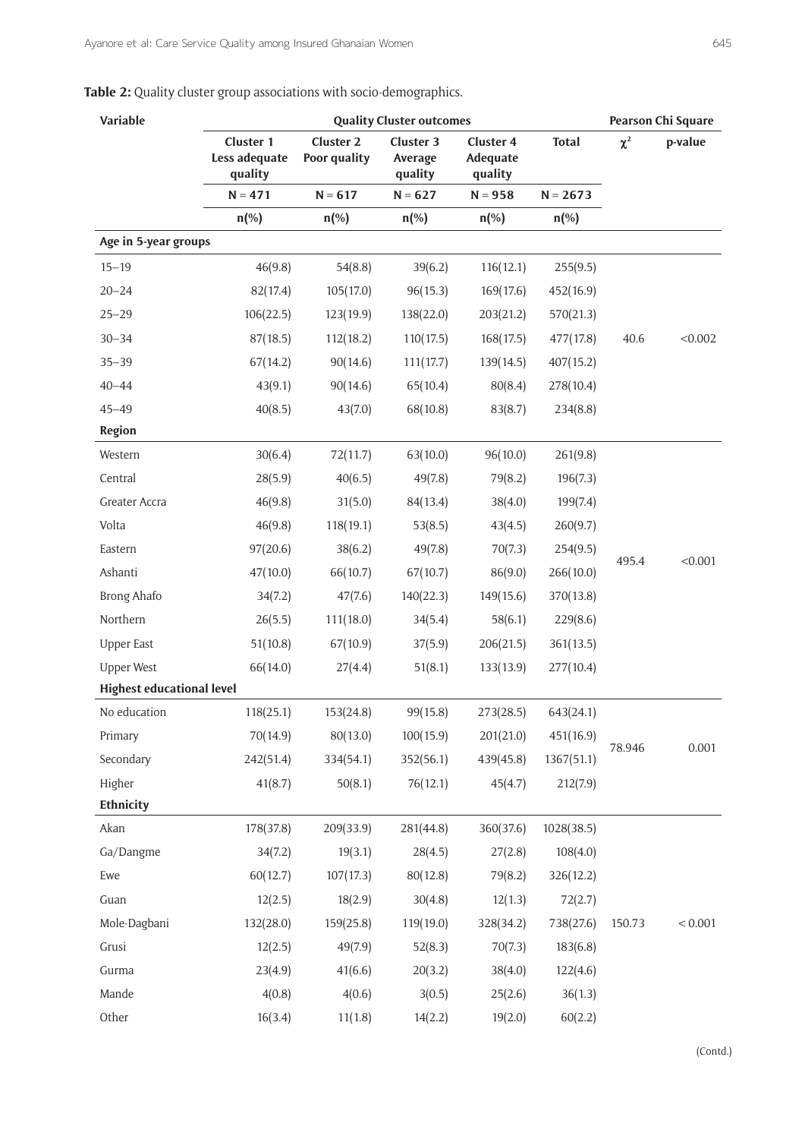**Table 2:** Quality cluster group associations with socio-demographics.

| Variable                         |                                       | <b>Quality Cluster outcomes</b>  |                                 |                                         |              |          | Pearson Chi Square |  |  |
|----------------------------------|---------------------------------------|----------------------------------|---------------------------------|-----------------------------------------|--------------|----------|--------------------|--|--|
|                                  | Cluster 1<br>Less adequate<br>quality | <b>Cluster 2</b><br>Poor quality | Cluster 3<br>Average<br>quality | <b>Cluster 4</b><br>Adequate<br>quality | <b>Total</b> | $\chi^2$ | p-value            |  |  |
|                                  | $N = 471$                             | $N = 617$                        | $N = 627$                       | $N = 958$                               | $N = 2673$   |          |                    |  |  |
|                                  | $n\left(\%\right)$                    | $n$ (%)                          | $n$ (%)                         | $n$ (%)                                 | $n$ (%)      |          |                    |  |  |
| Age in 5-year groups             |                                       |                                  |                                 |                                         |              |          |                    |  |  |
| $15 - 19$                        | 46(9.8)                               | 54(8.8)                          | 39(6.2)                         | 116(12.1)                               | 255(9.5)     |          |                    |  |  |
| $20 - 24$                        | 82(17.4)                              | 105(17.0)                        | 96(15.3)                        | 169(17.6)                               | 452(16.9)    |          |                    |  |  |
| $25 - 29$                        | 106(22.5)                             | 123(19.9)                        | 138(22.0)                       | 203(21.2)                               | 570(21.3)    |          |                    |  |  |
| $30 - 34$                        | 87(18.5)                              | 112(18.2)                        | 110(17.5)                       | 168(17.5)                               | 477(17.8)    | 40.6     | < 0.002            |  |  |
| $35 - 39$                        | 67(14.2)                              | 90(14.6)                         | 111(17.7)                       | 139(14.5)                               | 407(15.2)    |          |                    |  |  |
| $40 - 44$                        | 43(9.1)                               | 90(14.6)                         | 65(10.4)                        | 80(8.4)                                 | 278(10.4)    |          |                    |  |  |
| $45 - 49$                        | 40(8.5)                               | 43(7.0)                          | 68(10.8)                        | 83(8.7)                                 | 234(8.8)     |          |                    |  |  |
| <b>Region</b>                    |                                       |                                  |                                 |                                         |              |          |                    |  |  |
| Western                          | 30(6.4)                               | 72(11.7)                         | 63(10.0)                        | 96(10.0)                                | 261(9.8)     |          |                    |  |  |
| Central                          | 28(5.9)                               | 40(6.5)                          | 49(7.8)                         | 79(8.2)                                 | 196(7.3)     |          |                    |  |  |
| Greater Accra                    | 46(9.8)                               | 31(5.0)                          | 84(13.4)                        | 38(4.0)                                 | 199(7.4)     |          | < 0.001            |  |  |
| Volta                            | 46(9.8)                               | 118(19.1)                        | 53(8.5)                         | 43(4.5)                                 | 260(9.7)     |          |                    |  |  |
| Eastern                          | 97(20.6)                              | 38(6.2)                          | 49(7.8)                         | 70(7.3)                                 | 254(9.5)     | 495.4    |                    |  |  |
| Ashanti                          | 47(10.0)                              | 66(10.7)                         | 67(10.7)                        | 86(9.0)                                 | 266(10.0)    |          |                    |  |  |
| <b>Brong Ahafo</b>               | 34(7.2)                               | 47(7.6)                          | 140(22.3)                       | 149(15.6)                               | 370(13.8)    |          |                    |  |  |
| Northern                         | 26(5.5)                               | 111(18.0)                        | 34(5.4)                         | 58(6.1)                                 | 229(8.6)     |          |                    |  |  |
| <b>Upper East</b>                | 51(10.8)                              | 67(10.9)                         | 37(5.9)                         | 206(21.5)                               | 361(13.5)    |          |                    |  |  |
| <b>Upper West</b>                | 66(14.0)                              | 27(4.4)                          | 51(8.1)                         | 133(13.9)                               | 277(10.4)    |          |                    |  |  |
| <b>Highest educational level</b> |                                       |                                  |                                 |                                         |              |          |                    |  |  |
| No education                     | 118(25.1)                             | 153(24.8)                        | 99(15.8)                        | 273(28.5)                               | 643(24.1)    |          |                    |  |  |
| Primary                          | 70(14.9)                              | 80(13.0)                         | 100(15.9)                       | 201(21.0)                               | 451(16.9)    | 78.946   | 0.001              |  |  |
| Secondary                        | 242(51.4)                             | 334(54.1)                        | 352(56.1)                       | 439(45.8)                               | 1367(51.1)   |          |                    |  |  |
| Higher                           | 41(8.7)                               | 50(8.1)                          | 76(12.1)                        | 45(4.7)                                 | 212(7.9)     |          |                    |  |  |
| Ethnicity                        |                                       |                                  |                                 |                                         |              |          |                    |  |  |
| Akan                             | 178(37.8)                             | 209(33.9)                        | 281(44.8)                       | 360(37.6)                               | 1028(38.5)   |          |                    |  |  |
| Ga/Dangme                        | 34(7.2)                               | 19(3.1)                          | 28(4.5)                         | 27(2.8)                                 | 108(4.0)     |          |                    |  |  |
| Ewe                              | 60(12.7)                              | 107(17.3)                        | 80(12.8)                        | 79(8.2)                                 | 326(12.2)    |          |                    |  |  |
| Guan                             | 12(2.5)                               | 18(2.9)                          | 30(4.8)                         | 12(1.3)                                 | 72(2.7)      |          |                    |  |  |
| Mole-Dagbani                     | 132(28.0)                             | 159(25.8)                        | 119(19.0)                       | 328(34.2)                               | 738(27.6)    | 150.73   | < 0.001            |  |  |
| Grusi                            | 12(2.5)                               | 49(7.9)                          | 52(8.3)                         | 70(7.3)                                 | 183(6.8)     |          |                    |  |  |
| Gurma                            | 23(4.9)                               | 41(6.6)                          | 20(3.2)                         | 38(4.0)                                 | 122(4.6)     |          |                    |  |  |
| Mande                            | 4(0.8)                                | 4(0.6)                           | 3(0.5)                          | 25(2.6)                                 | 36(1.3)      |          |                    |  |  |
| Other                            | 16(3.4)                               | 11(1.8)                          | 14(2.2)                         | 19(2.0)                                 | 60(2.2)      |          |                    |  |  |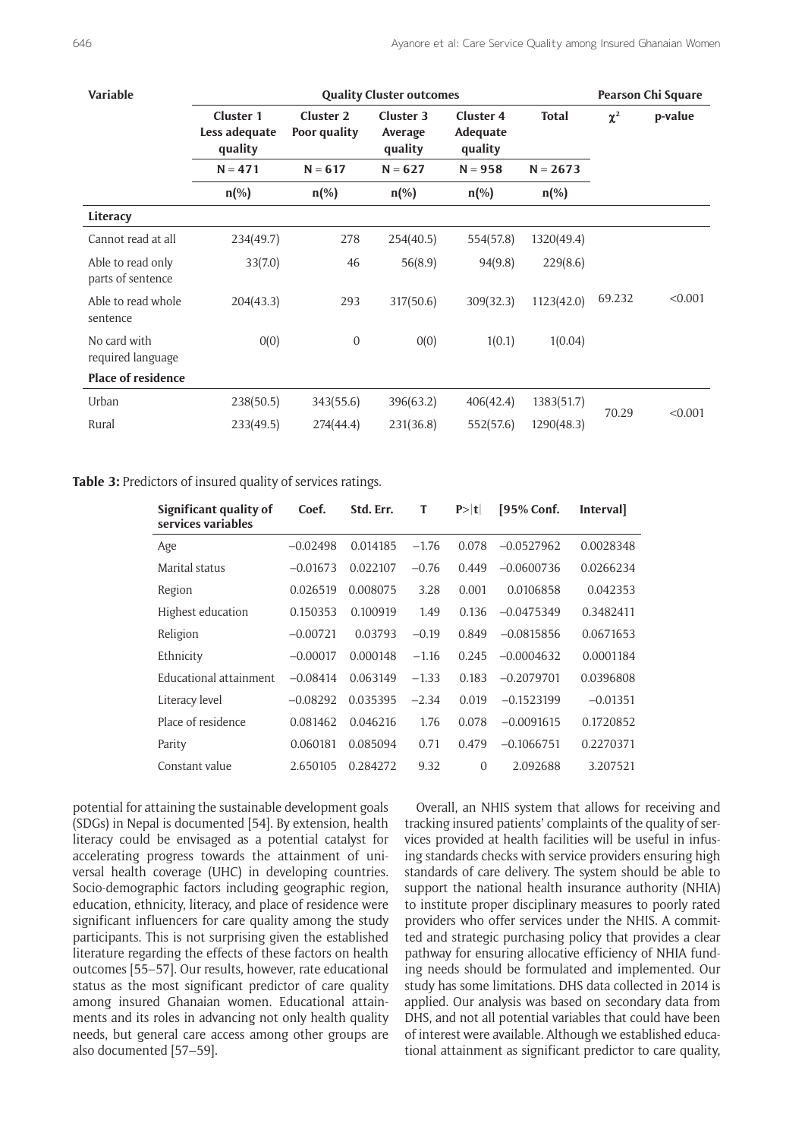| Variable                               |                                       | Pearson Chi Square               |                                 |                                         |              |          |         |
|----------------------------------------|---------------------------------------|----------------------------------|---------------------------------|-----------------------------------------|--------------|----------|---------|
|                                        | Cluster 1<br>Less adequate<br>quality | <b>Cluster 2</b><br>Poor quality | Cluster 3<br>Average<br>quality | <b>Cluster 4</b><br>Adequate<br>quality | <b>Total</b> | $\chi^2$ | p-value |
|                                        | $N = 471$                             | $N = 617$                        | $N = 627$                       | $N = 958$                               | $N = 2673$   |          |         |
|                                        | $n$ (%)                               | $n$ (%)                          | $n$ (%)                         | $n$ (%)                                 | $n$ (%)      |          |         |
| Literacy                               |                                       |                                  |                                 |                                         |              |          |         |
| Cannot read at all                     | 234(49.7)                             | 278                              | 254(40.5)                       | 554(57.8)                               | 1320(49.4)   |          |         |
| Able to read only<br>parts of sentence | 33(7.0)                               | 46                               | 56(8.9)                         | 94(9.8)                                 | 229(8.6)     |          |         |
| Able to read whole<br>sentence         | 204(43.3)                             | 293                              | 317(50.6)                       | 309(32.3)                               | 1123(42.0)   | 69.232   | < 0.001 |
| No card with<br>required language      | 0(0)                                  | $\mathbf{0}$                     | 0(0)                            | 1(0.1)                                  | 1(0.04)      |          |         |
| <b>Place of residence</b>              |                                       |                                  |                                 |                                         |              |          |         |
| Urban                                  | 238(50.5)                             | 343(55.6)                        | 396(63.2)                       | 406(42.4)                               | 1383(51.7)   |          |         |
| Rural                                  | 233(49.5)                             | 274(44.4)                        | 231(36.8)                       | 552(57.6)                               | 1290(48.3)   | 70.29    | < 0.001 |

**Table 3:** Predictors of insured quality of services ratings.

| Significant quality of<br>services variables | Coef.      | Std. Err. | T       | P> t     | [95% Conf.   | <b>Interval</b> |
|----------------------------------------------|------------|-----------|---------|----------|--------------|-----------------|
| Age                                          | $-0.02498$ | 0.014185  | $-1.76$ | 0.078    | $-0.0527962$ | 0.0028348       |
| Marital status                               | $-0.01673$ | 0.022107  | $-0.76$ | 0.449    | $-0.0600736$ | 0.0266234       |
| Region                                       | 0.026519   | 0.008075  | 3.28    | 0.001    | 0.0106858    | 0.042353        |
| Highest education                            | 0.150353   | 0.100919  | 1.49    | 0.136    | $-0.0475349$ | 0.3482411       |
| Religion                                     | $-0.00721$ | 0.03793   | $-0.19$ | 0.849    | $-0.0815856$ | 0.0671653       |
| Ethnicity                                    | $-0.00017$ | 0.000148  | $-1.16$ | 0.245    | $-0.0004632$ | 0.0001184       |
| Educational attainment                       | $-0.08414$ | 0.063149  | $-1.33$ | 0.183    | $-0.2079701$ | 0.0396808       |
| Literacy level                               | $-0.08292$ | 0.035395  | $-2.34$ | 0.019    | $-0.1523199$ | $-0.01351$      |
| Place of residence                           | 0.081462   | 0.046216  | 1.76    | 0.078    | $-0.0091615$ | 0.1720852       |
| Parity                                       | 0.060181   | 0.085094  | 0.71    | 0.479    | $-0.1066751$ | 0.2270371       |
| Constant value                               | 2.650105   | 0.284272  | 9.32    | $\Omega$ | 2.092688     | 3.207521        |

potential for attaining the sustainable development goals (SDGs) in Nepal is documented [54]. By extension, health literacy could be envisaged as a potential catalyst for accelerating progress towards the attainment of universal health coverage (UHC) in developing countries. Socio-demographic factors including geographic region, education, ethnicity, literacy, and place of residence were significant influencers for care quality among the study participants. This is not surprising given the established literature regarding the effects of these factors on health outcomes [55–57]. Our results, however, rate educational status as the most significant predictor of care quality among insured Ghanaian women. Educational attainments and its roles in advancing not only health quality needs, but general care access among other groups are also documented [57–59].

Overall, an NHIS system that allows for receiving and tracking insured patients' complaints of the quality of services provided at health facilities will be useful in infusing standards checks with service providers ensuring high standards of care delivery. The system should be able to support the national health insurance authority (NHIA) to institute proper disciplinary measures to poorly rated providers who offer services under the NHIS. A committed and strategic purchasing policy that provides a clear pathway for ensuring allocative efficiency of NHIA funding needs should be formulated and implemented. Our study has some limitations. DHS data collected in 2014 is applied. Our analysis was based on secondary data from DHS, and not all potential variables that could have been of interest were available. Although we established educational attainment as significant predictor to care quality,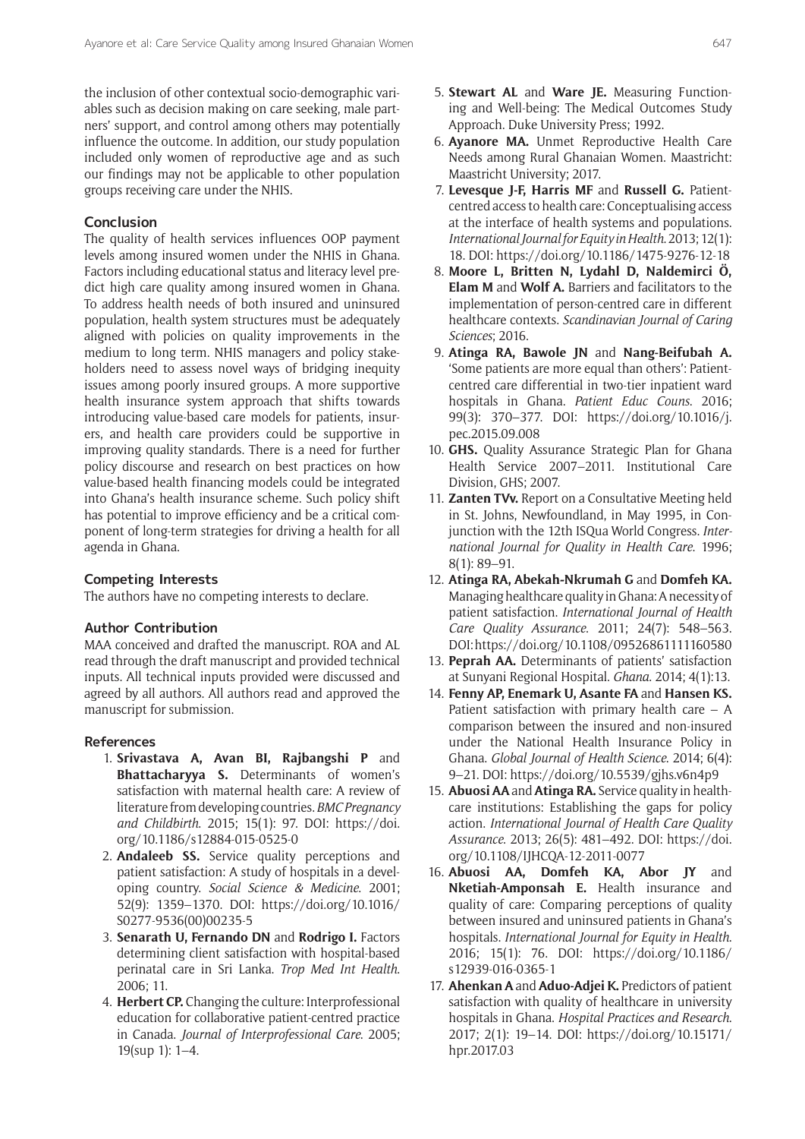the inclusion of other contextual socio-demographic variables such as decision making on care seeking, male partners' support, and control among others may potentially influence the outcome. In addition, our study population included only women of reproductive age and as such our findings may not be applicable to other population groups receiving care under the NHIS.

# **Conclusion**

The quality of health services influences OOP payment levels among insured women under the NHIS in Ghana. Factors including educational status and literacy level predict high care quality among insured women in Ghana. To address health needs of both insured and uninsured population, health system structures must be adequately aligned with policies on quality improvements in the medium to long term. NHIS managers and policy stakeholders need to assess novel ways of bridging inequity issues among poorly insured groups. A more supportive health insurance system approach that shifts towards introducing value-based care models for patients, insurers, and health care providers could be supportive in improving quality standards. There is a need for further policy discourse and research on best practices on how value-based health financing models could be integrated into Ghana's health insurance scheme. Such policy shift has potential to improve efficiency and be a critical component of long-term strategies for driving a health for all agenda in Ghana.

### **Competing Interests**

The authors have no competing interests to declare.

# **Author Contribution**

MAA conceived and drafted the manuscript. ROA and AL read through the draft manuscript and provided technical inputs. All technical inputs provided were discussed and agreed by all authors. All authors read and approved the manuscript for submission.

# **References**

- 1. **Srivastava A, Avan BI, Rajbangshi P** and **Bhattacharyya S.** Determinants of women's satisfaction with maternal health care: A review of literature from developing countries. *BMC Pregnancy and Childbirth*. 2015; 15(1): 97. DOI: [https://doi.](https://doi.org/10.1186/s12884-015-0525-0) [org/10.1186/s12884-015-0525-0](https://doi.org/10.1186/s12884-015-0525-0)
- 2. **Andaleeb SS.** Service quality perceptions and patient satisfaction: A study of hospitals in a developing country. *Social Science & Medicine*. 2001; 52(9): 1359–1370. DOI: [https://doi.org/10.1016/](https://doi.org/10.1016/S0277-9536(00)00235-5) [S0277-9536\(00\)00235-5](https://doi.org/10.1016/S0277-9536(00)00235-5)
- 3. **Senarath U, Fernando DN** and **Rodrigo I.** Factors determining client satisfaction with hospital-based perinatal care in Sri Lanka. *Trop Med Int Health*. 2006; 11.
- 4. **Herbert CP.** Changing the culture: Interprofessional education for collaborative patient-centred practice in Canada. *Journal of Interprofessional Care*. 2005; 19(sup 1): 1–4.
- 5. **Stewart AL** and **Ware JE.** Measuring Functioning and Well-being: The Medical Outcomes Study Approach. Duke University Press; 1992.
- 6. **Ayanore MA.** Unmet Reproductive Health Care Needs among Rural Ghanaian Women. Maastricht: Maastricht University; 2017.
- 7. **Levesque J-F, Harris MF** and **Russell G.** Patientcentred access to health care: Conceptualising access at the interface of health systems and populations. *International Journal for Equity in Health*.2013; 12(1): 18. DOI:<https://doi.org/10.1186/1475-9276-12-18>
- 8. **Moore L, Britten N, Lydahl D, Naldemirci Ö, Elam M** and **Wolf A.** Barriers and facilitators to the implementation of person-centred care in different healthcare contexts. *Scandinavian Journal of Caring Sciences*; 2016.
- 9. **Atinga RA, Bawole JN** and **Nang-Beifubah A.** 'Some patients are more equal than others': Patientcentred care differential in two-tier inpatient ward hospitals in Ghana. *Patient Educ Couns*. 2016; 99(3): 370–377. DOI: [https://doi.org/10.1016/j.](https://doi.org/10.1016/j.pec.2015.09.008) [pec.2015.09.008](https://doi.org/10.1016/j.pec.2015.09.008)
- 10. **GHS.** Quality Assurance Strategic Plan for Ghana Health Service 2007–2011. Institutional Care Division, GHS; 2007.
- 11. **Zanten TVv.** Report on a Consultative Meeting held in St. Johns, Newfoundland, in May 1995, in Conjunction with the 12th ISQua World Congress. *International Journal for Quality in Health Care*. 1996; 8(1): 89–91.
- 12. **Atinga RA, Abekah‐Nkrumah G** and **Domfeh KA.** Managing healthcare quality in Ghana: A necessity of patient satisfaction. *International Journal of Health Care Quality Assurance*. 2011; 24(7): 548–563. DOI:<https://doi.org/10.1108/09526861111160580>
- 13. **Peprah AA.** Determinants of patients' satisfaction at Sunyani Regional Hospital. *Ghana*. 2014; 4(1):13.
- 14. **Fenny AP, Enemark U, Asante FA** and **Hansen KS.** Patient satisfaction with primary health care – A comparison between the insured and non-insured under the National Health Insurance Policy in Ghana. *Global Journal of Health Science*. 2014; 6(4): 9–21. DOI:<https://doi.org/10.5539/gjhs.v6n4p9>
- 15. **Abuosi AA** and **Atinga RA.** Service quality in healthcare institutions: Establishing the gaps for policy action. *International Journal of Health Care Quality Assurance*. 2013; 26(5): 481–492. DOI: [https://doi.](https://doi.org/10.1108/IJHCQA-12-2011-0077) [org/10.1108/IJHCQA-12-2011-0077](https://doi.org/10.1108/IJHCQA-12-2011-0077)
- 16. **Abuosi AA, Domfeh KA, Abor JY** and **Nketiah-Amponsah E.** Health insurance and quality of care: Comparing perceptions of quality between insured and uninsured patients in Ghana's hospitals. *International Journal for Equity in Health*. 2016; 15(1): 76. DOI: [https://doi.org/10.1186/](https://doi.org/10.1186/s12939-016-0365-1) [s12939-016-0365-1](https://doi.org/10.1186/s12939-016-0365-1)
- 17. **Ahenkan A** and **Aduo-Adjei K.** Predictors of patient satisfaction with quality of healthcare in university hospitals in Ghana. *Hospital Practices and Research*. 2017; 2(1): 19–14. DOI: [https://doi.org/10.15171/](https://doi.org/10.15171/hpr.2017.03) [hpr.2017.03](https://doi.org/10.15171/hpr.2017.03)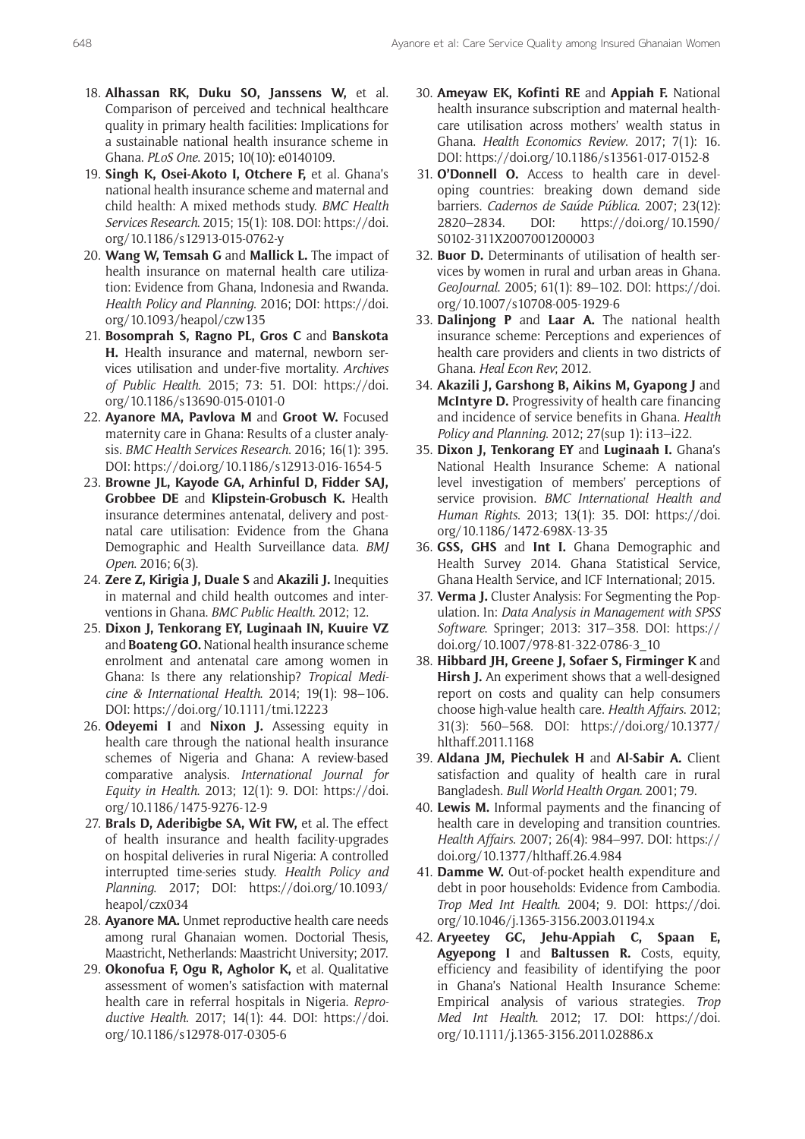- 18. **Alhassan RK, Duku SO, Janssens W,** et al. Comparison of perceived and technical healthcare quality in primary health facilities: Implications for a sustainable national health insurance scheme in Ghana. *PLoS One*. 2015; 10(10): e0140109.
- 19. **Singh K, Osei-Akoto I, Otchere F,** et al. Ghana's national health insurance scheme and maternal and child health: A mixed methods study. *BMC Health Services Research*. 2015; 15(1): 108. DOI: [https://doi.](https://doi.org/10.1186/s12913-015-0762-y) [org/10.1186/s12913-015-0762-y](https://doi.org/10.1186/s12913-015-0762-y)
- 20. **Wang W, Temsah G** and **Mallick L.** The impact of health insurance on maternal health care utilization: Evidence from Ghana, Indonesia and Rwanda. *Health Policy and Planning*. 2016; DOI: [https://doi.](https://doi.org/10.1093/heapol/czw135) [org/10.1093/heapol/czw135](https://doi.org/10.1093/heapol/czw135)
- 21. **Bosomprah S, Ragno PL, Gros C** and **Banskota H.** Health insurance and maternal, newborn services utilisation and under-five mortality. *Archives of Public Health*. 2015; 73: 51. DOI: [https://doi.](https://doi.org/10.1186/s13690-015-0101-0) [org/10.1186/s13690-015-0101-0](https://doi.org/10.1186/s13690-015-0101-0)
- 22. **Ayanore MA, Pavlova M** and **Groot W.** Focused maternity care in Ghana: Results of a cluster analysis. *BMC Health Services Research*. 2016; 16(1): 395. DOI: <https://doi.org/10.1186/s12913-016-1654-5>
- 23. **Browne JL, Kayode GA, Arhinful D, Fidder SAJ, Grobbee DE** and **Klipstein-Grobusch K.** Health insurance determines antenatal, delivery and postnatal care utilisation: Evidence from the Ghana Demographic and Health Surveillance data. *BMJ Open*. 2016; 6(3).
- 24. **Zere Z, Kirigia J, Duale S** and **Akazili J.** Inequities in maternal and child health outcomes and interventions in Ghana. *BMC Public Health*. 2012; 12.
- 25. **Dixon J, Tenkorang EY, Luginaah IN, Kuuire VZ**  and **Boateng GO.** National health insurance scheme enrolment and antenatal care among women in Ghana: Is there any relationship? *Tropical Medicine & International Health*. 2014; 19(1): 98–106. DOI: <https://doi.org/10.1111/tmi.12223>
- 26. **Odeyemi I** and **Nixon J.** Assessing equity in health care through the national health insurance schemes of Nigeria and Ghana: A review-based comparative analysis. *International Journal for Equity in Health*. 2013; 12(1): 9. DOI: [https://doi.](https://doi.org/10.1186/1475-9276-12-9) [org/10.1186/1475-9276-12-9](https://doi.org/10.1186/1475-9276-12-9)
- 27. **Brals D, Aderibigbe SA, Wit FW,** et al. The effect of health insurance and health facility-upgrades on hospital deliveries in rural Nigeria: A controlled interrupted time-series study. *Health Policy and Planning*. 2017; DOI: [https://doi.org/10.1093/](https://doi.org/10.1093/heapol/czx034) [heapol/czx034](https://doi.org/10.1093/heapol/czx034)
- 28. **Ayanore MA.** Unmet reproductive health care needs among rural Ghanaian women. Doctorial Thesis, Maastricht, Netherlands: Maastricht University; 2017.
- 29. **Okonofua F, Ogu R, Agholor K,** et al. Qualitative assessment of women's satisfaction with maternal health care in referral hospitals in Nigeria. *Reproductive Health*. 2017; 14(1): 44. DOI: [https://doi.](https://doi.org/10.1186/s12978-017-0305-6) [org/10.1186/s12978-017-0305-6](https://doi.org/10.1186/s12978-017-0305-6)
- 30. **Ameyaw EK, Kofinti RE** and **Appiah F.** National health insurance subscription and maternal healthcare utilisation across mothers' wealth status in Ghana. *Health Economics Review*. 2017; 7(1): 16. DOI:<https://doi.org/10.1186/s13561-017-0152-8>
- 31. **O'Donnell O.** Access to health care in developing countries: breaking down demand side barriers. *Cadernos de Saúde Pública*. 2007; 23(12): 2820–2834. DOI: [https://doi.org/10.1590/](https://doi.org/10.1590/S0102-311X2007001200003) [S0102-311X2007001200003](https://doi.org/10.1590/S0102-311X2007001200003)
- 32. **Buor D.** Determinants of utilisation of health services by women in rural and urban areas in Ghana. *GeoJournal*. 2005; 61(1): 89–102. DOI: [https://doi.](https://doi.org/10.1007/s10708-005-1929-6) [org/10.1007/s10708-005-1929-6](https://doi.org/10.1007/s10708-005-1929-6)
- 33. **Dalinjong P** and **Laar A.** The national health insurance scheme: Perceptions and experiences of health care providers and clients in two districts of Ghana. *Heal Econ Rev*; 2012.
- 34. Akazili J, Garshong B, Aikins M, Gyapong J and **McIntyre D.** Progressivity of health care financing and incidence of service benefits in Ghana. *Health Policy and Planning*. 2012; 27(sup 1): i13–i22.
- 35. **Dixon J, Tenkorang EY** and **Luginaah I.** Ghana's National Health Insurance Scheme: A national level investigation of members' perceptions of service provision. *BMC International Health and Human Rights*. 2013; 13(1): 35. DOI: [https://doi.](https://doi.org/10.1186/1472-698X-13-35) [org/10.1186/1472-698X-13-35](https://doi.org/10.1186/1472-698X-13-35)
- 36. **GSS, GHS** and **Int I.** Ghana Demographic and Health Survey 2014. Ghana Statistical Service, Ghana Health Service, and ICF International; 2015.
- 37. **Verma J.** Cluster Analysis: For Segmenting the Population. In: *Data Analysis in Management with SPSS Software*. Springer; 2013: 317–358. DOI: [https://](https://doi.org/10.1007/978-81-322-0786-3_10) [doi.org/10.1007/978-81-322-0786-3\\_10](https://doi.org/10.1007/978-81-322-0786-3_10)
- 38. **Hibbard JH, Greene J, Sofaer S, Firminger K** and **Hirsh J.** An experiment shows that a well-designed report on costs and quality can help consumers choose high-value health care. *Health Affairs*. 2012; 31(3): 560–568. DOI: [https://doi.org/10.1377/](https://doi.org/10.1377/hlthaff.2011.1168) [hlthaff.2011.1168](https://doi.org/10.1377/hlthaff.2011.1168)
- 39. **Aldana JM, Piechulek H** and **Al-Sabir A.** Client satisfaction and quality of health care in rural Bangladesh. *Bull World Health Organ*. 2001; 79.
- 40. **Lewis M.** Informal payments and the financing of health care in developing and transition countries. *Health Affairs*. 2007; 26(4): 984–997. DOI: [https://](https://doi.org/10.1377/hlthaff.26.4.984) [doi.org/10.1377/hlthaff.26.4.984](https://doi.org/10.1377/hlthaff.26.4.984)
- 41. **Damme W.** Out-of-pocket health expenditure and debt in poor households: Evidence from Cambodia. *Trop Med Int Health*. 2004; 9. DOI: [https://doi.](https://doi.org/10.1046/j.1365-3156.2003.01194.x) [org/10.1046/j.1365-3156.2003.01194.x](https://doi.org/10.1046/j.1365-3156.2003.01194.x)
- 42. **Aryeetey GC, Jehu-Appiah C, Spaan E, Agyepong I** and **Baltussen R.** Costs, equity, efficiency and feasibility of identifying the poor in Ghana's National Health Insurance Scheme: Empirical analysis of various strategies. *Trop Med Int Health*. 2012; 17. DOI: [https://doi.](https://doi.org/10.1111/j.1365-3156.2011.02886.x) [org/10.1111/j.1365-3156.2011.02886.x](https://doi.org/10.1111/j.1365-3156.2011.02886.x)